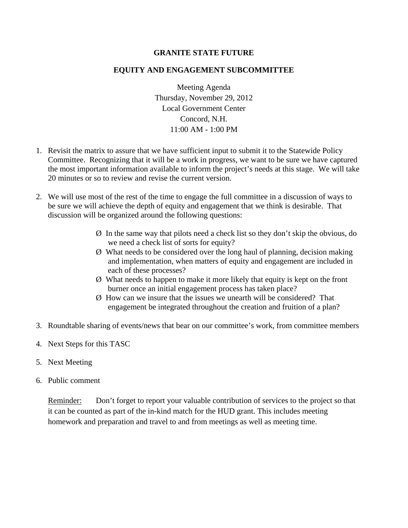## **GRANITE STATE FUTURE**

### **EQUITY AND ENGAGEMENT SUBCOMMITTEE**

Meeting Agenda Thursday, November 29, 2012 Local Government Center Concord, N.H. 11:00 AM - 1:00 PM

- 1. Revisit the matrix to assure that we have sufficient input to submit it to the Statewide Policy Committee. Recognizing that it will be a work in progress, we want to be sure we have captured the most important information available to inform the project's needs at this stage. We will take 20 minutes or so to review and revise the current version.
- 2. We will use most of the rest of the time to engage the full committee in a discussion of ways to be sure we will achieve the depth of equity and engagement that we think is desirable. That discussion will be organized around the following questions:
	- Ø In the same way that pilots need a check list so they don't skip the obvious, do we need a check list of sorts for equity?
	- Ø What needs to be considered over the long haul of planning, decision making and implementation, when matters of equity and engagement are included in each of these processes?
	- Ø What needs to happen to make it more likely that equity is kept on the front burner once an initial engagement process has taken place?
	- Ø How can we insure that the issues we unearth will be considered? That engagement be integrated throughout the creation and fruition of a plan?
- 3. Roundtable sharing of events/news that bear on our committee's work, from committee members
- 4. Next Steps for this TASC
- 5. Next Meeting
- 6. Public comment

Reminder: Don't forget to report your valuable contribution of services to the project so that it can be counted as part of the in-kind match for the HUD grant. This includes meeting homework and preparation and travel to and from meetings as well as meeting time.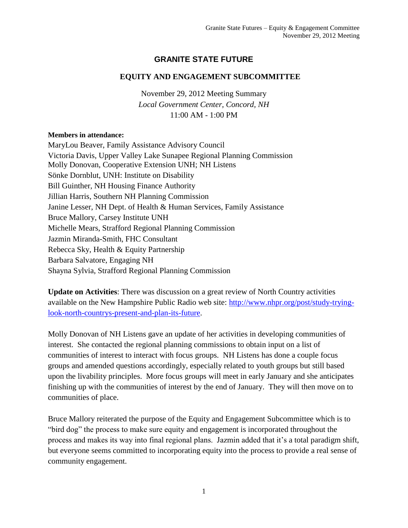# **GRANITE STATE FUTURE**

## **EQUITY AND ENGAGEMENT SUBCOMMITTEE**

November 29, 2012 Meeting Summary *Local Government Center, Concord, NH* 11:00 AM - 1:00 PM

#### **Members in attendance:**

MaryLou Beaver, Family Assistance Advisory Council Victoria Davis, Upper Valley Lake Sunapee Regional Planning Commission Molly Donovan, Cooperative Extension UNH; NH Listens Sönke Dornblut, UNH: Institute on Disability Bill Guinther, NH Housing Finance Authority Jillian Harris, Southern NH Planning Commission Janine Lesser, NH Dept. of Health & Human Services, Family Assistance Bruce Mallory, Carsey Institute UNH Michelle Mears, Strafford Regional Planning Commission Jazmin Miranda-Smith, FHC Consultant Rebecca Sky, Health & Equity Partnership Barbara Salvatore, Engaging NH Shayna Sylvia, Strafford Regional Planning Commission

**Update on Activities**: There was discussion on a great review of North Country activities available on the New Hampshire Public Radio web site: [http://www.nhpr.org/post/study-trying](http://www.nhpr.org/post/study-trying-look-north-countrys-present-and-plan-its-future)[look-north-countrys-present-and-plan-its-future.](http://www.nhpr.org/post/study-trying-look-north-countrys-present-and-plan-its-future)

Molly Donovan of NH Listens gave an update of her activities in developing communities of interest. She contacted the regional planning commissions to obtain input on a list of communities of interest to interact with focus groups. NH Listens has done a couple focus groups and amended questions accordingly, especially related to youth groups but still based upon the livability principles. More focus groups will meet in early January and she anticipates finishing up with the communities of interest by the end of January. They will then move on to communities of place.

Bruce Mallory reiterated the purpose of the Equity and Engagement Subcommittee which is to "bird dog" the process to make sure equity and engagement is incorporated throughout the process and makes its way into final regional plans. Jazmin added that it's a total paradigm shift, but everyone seems committed to incorporating equity into the process to provide a real sense of community engagement.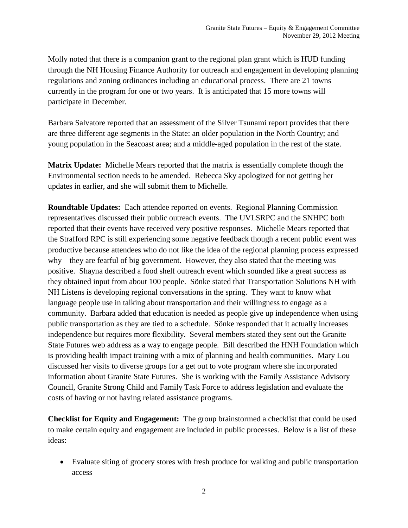Molly noted that there is a companion grant to the regional plan grant which is HUD funding through the NH Housing Finance Authority for outreach and engagement in developing planning regulations and zoning ordinances including an educational process. There are 21 towns currently in the program for one or two years. It is anticipated that 15 more towns will participate in December.

Barbara Salvatore reported that an assessment of the Silver Tsunami report provides that there are three different age segments in the State: an older population in the North Country; and young population in the Seacoast area; and a middle-aged population in the rest of the state.

**Matrix Update:** Michelle Mears reported that the matrix is essentially complete though the Environmental section needs to be amended. Rebecca Sky apologized for not getting her updates in earlier, and she will submit them to Michelle.

**Roundtable Updates:** Each attendee reported on events. Regional Planning Commission representatives discussed their public outreach events. The UVLSRPC and the SNHPC both reported that their events have received very positive responses. Michelle Mears reported that the Strafford RPC is still experiencing some negative feedback though a recent public event was productive because attendees who do not like the idea of the regional planning process expressed why—they are fearful of big government. However, they also stated that the meeting was positive. Shayna described a food shelf outreach event which sounded like a great success as they obtained input from about 100 people. Sönke stated that Transportation Solutions NH with NH Listens is developing regional conversations in the spring. They want to know what language people use in talking about transportation and their willingness to engage as a community. Barbara added that education is needed as people give up independence when using public transportation as they are tied to a schedule. Sönke responded that it actually increases independence but requires more flexibility. Several members stated they sent out the Granite State Futures web address as a way to engage people. Bill described the HNH Foundation which is providing health impact training with a mix of planning and health communities. Mary Lou discussed her visits to diverse groups for a get out to vote program where she incorporated information about Granite State Futures. She is working with the Family Assistance Advisory Council, Granite Strong Child and Family Task Force to address legislation and evaluate the costs of having or not having related assistance programs.

**Checklist for Equity and Engagement:** The group brainstormed a checklist that could be used to make certain equity and engagement are included in public processes. Below is a list of these ideas:

 Evaluate siting of grocery stores with fresh produce for walking and public transportation access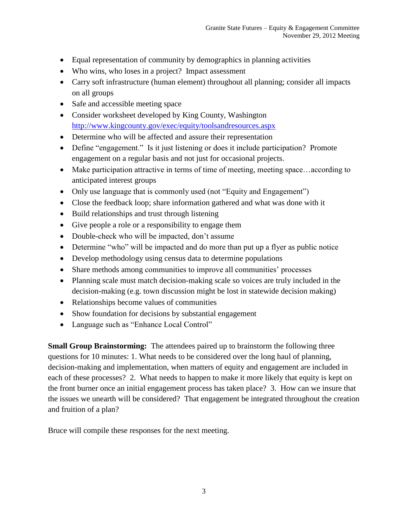- Equal representation of community by demographics in planning activities
- Who wins, who loses in a project? Impact assessment
- Carry soft infrastructure (human element) throughout all planning; consider all impacts on all groups
- Safe and accessible meeting space
- Consider worksheet developed by King County, Washington <http://www.kingcounty.gov/exec/equity/toolsandresources.aspx>
- Determine who will be affected and assure their representation
- Define "engagement." Is it just listening or does it include participation? Promote engagement on a regular basis and not just for occasional projects.
- Make participation attractive in terms of time of meeting, meeting space…according to anticipated interest groups
- Only use language that is commonly used (not "Equity and Engagement")
- Close the feedback loop; share information gathered and what was done with it
- Build relationships and trust through listening
- Give people a role or a responsibility to engage them
- Double-check who will be impacted, don't assume
- Determine "who" will be impacted and do more than put up a flyer as public notice
- Develop methodology using census data to determine populations
- Share methods among communities to improve all communities' processes
- Planning scale must match decision-making scale so voices are truly included in the decision-making (e.g. town discussion might be lost in statewide decision making)
- Relationships become values of communities
- Show foundation for decisions by substantial engagement
- Language such as "Enhance Local Control"

**Small Group Brainstorming:** The attendees paired up to brainstorm the following three questions for 10 minutes: 1. What needs to be considered over the long haul of planning, decision-making and implementation, when matters of equity and engagement are included in each of these processes? 2. What needs to happen to make it more likely that equity is kept on the front burner once an initial engagement process has taken place? 3. How can we insure that the issues we unearth will be considered? That engagement be integrated throughout the creation and fruition of a plan?

Bruce will compile these responses for the next meeting.